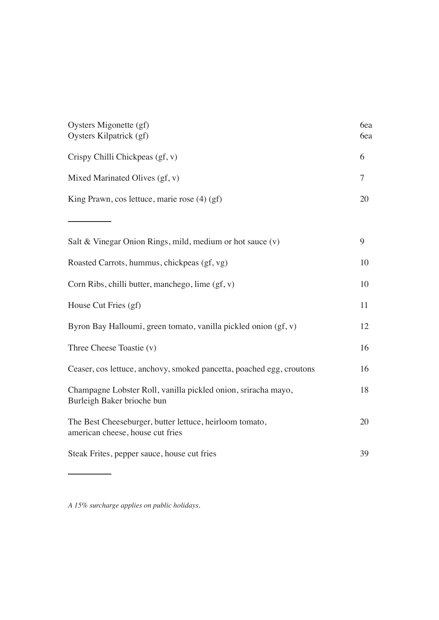| Oysters Migonette (gf)<br>Oysters Kilpatrick (gf)                                           | 6ea<br>6ea |
|---------------------------------------------------------------------------------------------|------------|
| Crispy Chilli Chickpeas (gf, v)                                                             | 6          |
| Mixed Marinated Olives (gf, v)                                                              | 7          |
| King Prawn, cos lettuce, marie rose $(4)$ (gf)                                              | 20         |
|                                                                                             |            |
| Salt & Vinegar Onion Rings, mild, medium or hot sauce (v)                                   | 9          |
| Roasted Carrots, hummus, chickpeas (gf, vg)                                                 | 10         |
| Corn Ribs, chilli butter, manchego, lime $(gf, v)$                                          | 10         |
| House Cut Fries (gf)                                                                        | 11         |
| Byron Bay Halloumi, green tomato, vanilla pickled onion (gf, v)                             | 12         |
| Three Cheese Toastie (v)                                                                    | 16         |
| Ceaser, cos lettuce, anchovy, smoked pancetta, poached egg, croutons                        | 16         |
| Champagne Lobster Roll, vanilla pickled onion, sriracha mayo,<br>Burleigh Baker brioche bun | 18         |
| The Best Cheeseburger, butter lettuce, heirloom tomato,<br>american cheese, house cut fries | 20         |
| Steak Frites, pepper sauce, house cut fries                                                 | 39         |

*A 15% surcharge applies on public holidays.*